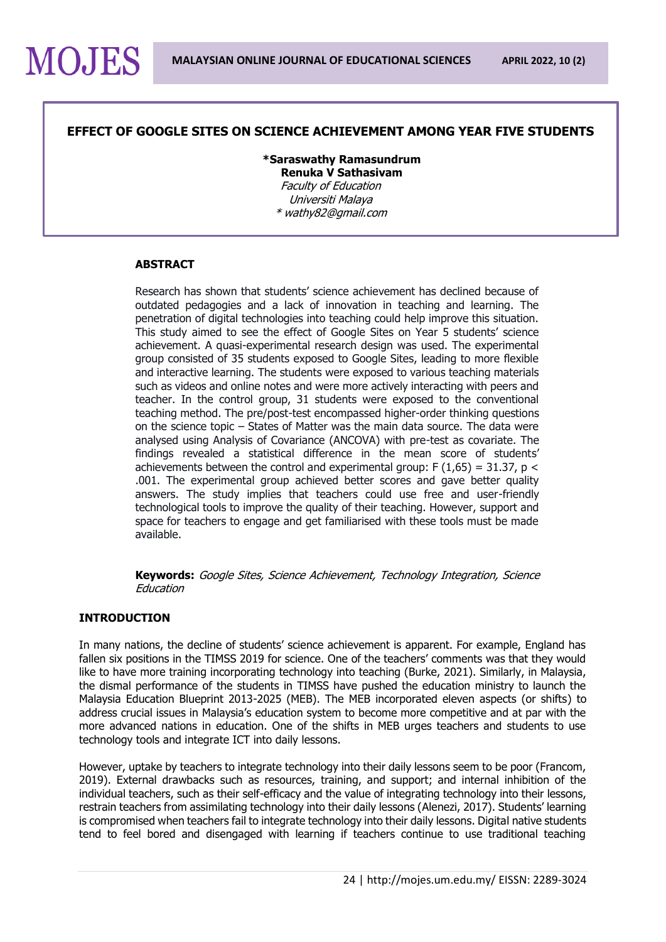### **EFFECT OF GOOGLE SITES ON SCIENCE ACHIEVEMENT AMONG YEAR FIVE STUDENTS**

**\*Saraswathy Ramasundrum Renuka V Sathasivam** Faculty of Education Universiti Malaya \* wathy82@gmail.com

#### **ABSTRACT**

Research has shown that students' science achievement has declined because of outdated pedagogies and a lack of innovation in teaching and learning. The penetration of digital technologies into teaching could help improve this situation. This study aimed to see the effect of Google Sites on Year 5 students' science achievement. A quasi-experimental research design was used. The experimental group consisted of 35 students exposed to Google Sites, leading to more flexible and interactive learning. The students were exposed to various teaching materials such as videos and online notes and were more actively interacting with peers and teacher. In the control group, 31 students were exposed to the conventional teaching method. The pre/post-test encompassed higher-order thinking questions on the science topic – States of Matter was the main data source. The data were analysed using Analysis of Covariance (ANCOVA) with pre-test as covariate. The findings revealed a statistical difference in the mean score of students' achievements between the control and experimental group:  $F(1,65) = 31.37$ , p < .001. The experimental group achieved better scores and gave better quality answers. The study implies that teachers could use free and user-friendly technological tools to improve the quality of their teaching. However, support and space for teachers to engage and get familiarised with these tools must be made available.

**Keywords:** Google Sites, Science Achievement, Technology Integration, Science Education

#### **INTRODUCTION**

In many nations, the decline of students' science achievement is apparent. For example, England has fallen six positions in the TIMSS 2019 for science. One of the teachers' comments was that they would like to have more training incorporating technology into teaching (Burke, 2021). Similarly, in Malaysia, the dismal performance of the students in TIMSS have pushed the education ministry to launch the Malaysia Education Blueprint 2013-2025 (MEB). The MEB incorporated eleven aspects (or shifts) to address crucial issues in Malaysia's education system to become more competitive and at par with the more advanced nations in education. One of the shifts in MEB urges teachers and students to use technology tools and integrate ICT into daily lessons.

However, uptake by teachers to integrate technology into their daily lessons seem to be poor (Francom, 2019). External drawbacks such as resources, training, and support; and internal inhibition of the individual teachers, such as their self-efficacy and the value of integrating technology into their lessons, restrain teachers from assimilating technology into their daily lessons (Alenezi, 2017). Students' learning is compromised when teachers fail to integrate technology into their daily lessons. Digital native students tend to feel bored and disengaged with learning if teachers continue to use traditional teaching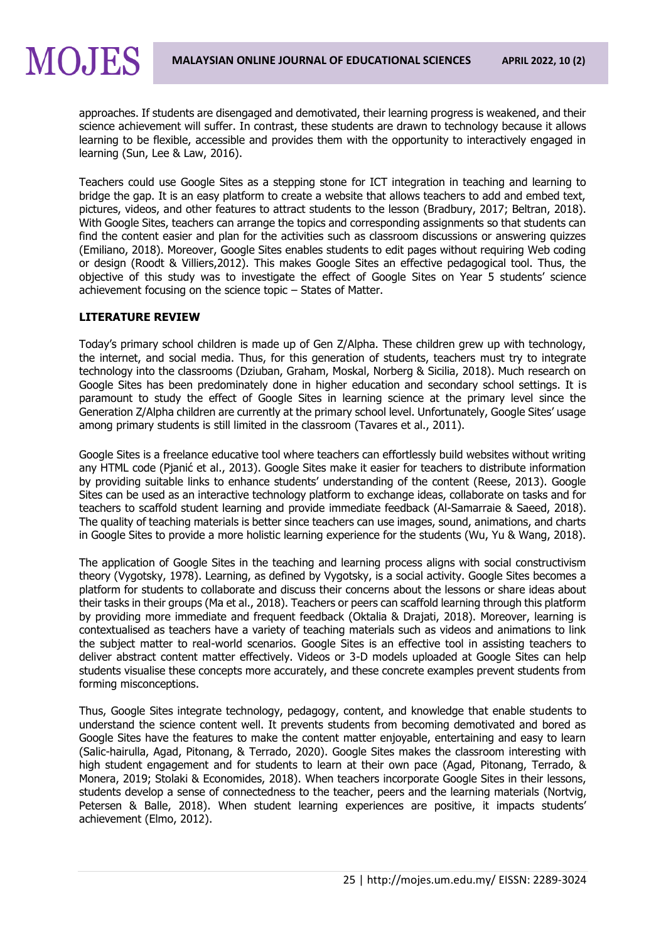approaches. If students are disengaged and demotivated, their learning progress is weakened, and their science achievement will suffer. In contrast, these students are drawn to technology because it allows learning to be flexible, accessible and provides them with the opportunity to interactively engaged in learning (Sun, Lee & Law, 2016).

Teachers could use Google Sites as a stepping stone for ICT integration in teaching and learning to bridge the gap. It is an easy platform to create a website that allows teachers to add and embed text, pictures, videos, and other features to attract students to the lesson (Bradbury, 2017; Beltran, 2018). With Google Sites, teachers can arrange the topics and corresponding assignments so that students can find the content easier and plan for the activities such as classroom discussions or answering quizzes (Emiliano, 2018). Moreover, Google Sites enables students to edit pages without requiring Web coding or design (Roodt & Villiers,2012). This makes Google Sites an effective pedagogical tool. Thus, the objective of this study was to investigate the effect of Google Sites on Year 5 students' science achievement focusing on the science topic – States of Matter.

## **LITERATURE REVIEW**

Today's primary school children is made up of Gen Z/Alpha. These children grew up with technology, the internet, and social media. Thus, for this generation of students, teachers must try to integrate technology into the classrooms (Dziuban, Graham, Moskal, Norberg & Sicilia, 2018). Much research on Google Sites has been predominately done in higher education and secondary school settings. It is paramount to study the effect of Google Sites in learning science at the primary level since the Generation Z/Alpha children are currently at the primary school level. Unfortunately, Google Sites' usage among primary students is still limited in the classroom (Tavares et al., 2011).

Google Sites is a freelance educative tool where teachers can effortlessly build websites without writing any HTML code (Pjanić et al., 2013). Google Sites make it easier for teachers to distribute information by providing suitable links to enhance students' understanding of the content (Reese, 2013). Google Sites can be used as an interactive technology platform to exchange ideas, collaborate on tasks and for teachers to scaffold student learning and provide immediate feedback (Al-Samarraie & Saeed, 2018). The quality of teaching materials is better since teachers can use images, sound, animations, and charts in Google Sites to provide a more holistic learning experience for the students (Wu, Yu & Wang, 2018).

The application of Google Sites in the teaching and learning process aligns with social constructivism theory (Vygotsky, 1978). Learning, as defined by Vygotsky, is a social activity. Google Sites becomes a platform for students to collaborate and discuss their concerns about the lessons or share ideas about their tasks in their groups (Ma et al., 2018). Teachers or peers can scaffold learning through this platform by providing more immediate and frequent feedback (Oktalia & Drajati, 2018). Moreover, learning is contextualised as teachers have a variety of teaching materials such as videos and animations to link the subject matter to real-world scenarios. Google Sites is an effective tool in assisting teachers to deliver abstract content matter effectively. Videos or 3-D models uploaded at Google Sites can help students visualise these concepts more accurately, and these concrete examples prevent students from forming misconceptions.

Thus, Google Sites integrate technology, pedagogy, content, and knowledge that enable students to understand the science content well. It prevents students from becoming demotivated and bored as Google Sites have the features to make the content matter enjoyable, entertaining and easy to learn (Salic-hairulla, Agad, Pitonang, & Terrado, 2020). Google Sites makes the classroom interesting with high student engagement and for students to learn at their own pace (Agad, Pitonang, Terrado, & Monera, 2019; Stolaki & Economides, 2018). When teachers incorporate Google Sites in their lessons, students develop a sense of connectedness to the teacher, peers and the learning materials (Nortvig, Petersen & Balle, 2018). When student learning experiences are positive, it impacts students' achievement (Elmo, 2012).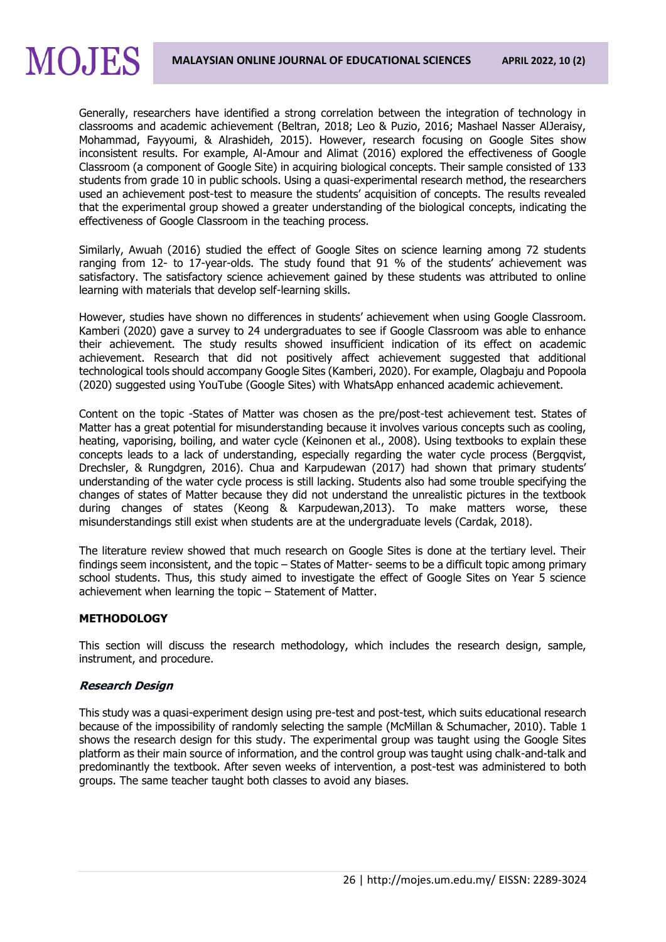Generally, researchers have identified a strong correlation between the integration of technology in classrooms and academic achievement (Beltran, 2018; Leo & Puzio, 2016; Mashael Nasser AlJeraisy, Mohammad, Fayyoumi, & Alrashideh, 2015). However, research focusing on Google Sites show inconsistent results. For example, Al-Amour and Alimat (2016) explored the effectiveness of Google Classroom (a component of Google Site) in acquiring biological concepts. Their sample consisted of 133 students from grade 10 in public schools. Using a quasi-experimental research method, the researchers used an achievement post-test to measure the students' acquisition of concepts. The results revealed that the experimental group showed a greater understanding of the biological concepts, indicating the effectiveness of Google Classroom in the teaching process.

Similarly, Awuah (2016) studied the effect of Google Sites on science learning among 72 students ranging from 12- to 17-year-olds. The study found that 91 % of the students' achievement was satisfactory. The satisfactory science achievement gained by these students was attributed to online learning with materials that develop self-learning skills.

However, studies have shown no differences in students' achievement when using Google Classroom. Kamberi (2020) gave a survey to 24 undergraduates to see if Google Classroom was able to enhance their achievement. The study results showed insufficient indication of its effect on academic achievement. Research that did not positively affect achievement suggested that additional technological tools should accompany Google Sites (Kamberi, 2020). For example, Olagbaju and Popoola (2020) suggested using YouTube (Google Sites) with WhatsApp enhanced academic achievement.

Content on the topic -States of Matter was chosen as the pre/post-test achievement test. States of Matter has a great potential for misunderstanding because it involves various concepts such as cooling, heating, vaporising, boiling, and water cycle (Keinonen et al., 2008). Using textbooks to explain these concepts leads to a lack of understanding, especially regarding the water cycle process (Bergqvist, Drechsler, & Rungdgren, 2016). Chua and Karpudewan (2017) had shown that primary students' understanding of the water cycle process is still lacking. Students also had some trouble specifying the changes of states of Matter because they did not understand the unrealistic pictures in the textbook during changes of states (Keong & Karpudewan,2013). To make matters worse, these misunderstandings still exist when students are at the undergraduate levels (Cardak, 2018).

The literature review showed that much research on Google Sites is done at the tertiary level. Their findings seem inconsistent, and the topic – States of Matter- seems to be a difficult topic among primary school students. Thus, this study aimed to investigate the effect of Google Sites on Year 5 science achievement when learning the topic – Statement of Matter.

## **METHODOLOGY**

This section will discuss the research methodology, which includes the research design, sample, instrument, and procedure.

#### **Research Design**

This study was a quasi-experiment design using pre-test and post-test, which suits educational research because of the impossibility of randomly selecting the sample (McMillan & Schumacher, 2010). Table 1 shows the research design for this study. The experimental group was taught using the Google Sites platform as their main source of information, and the control group was taught using chalk-and-talk and predominantly the textbook. After seven weeks of intervention, a post-test was administered to both groups. The same teacher taught both classes to avoid any biases.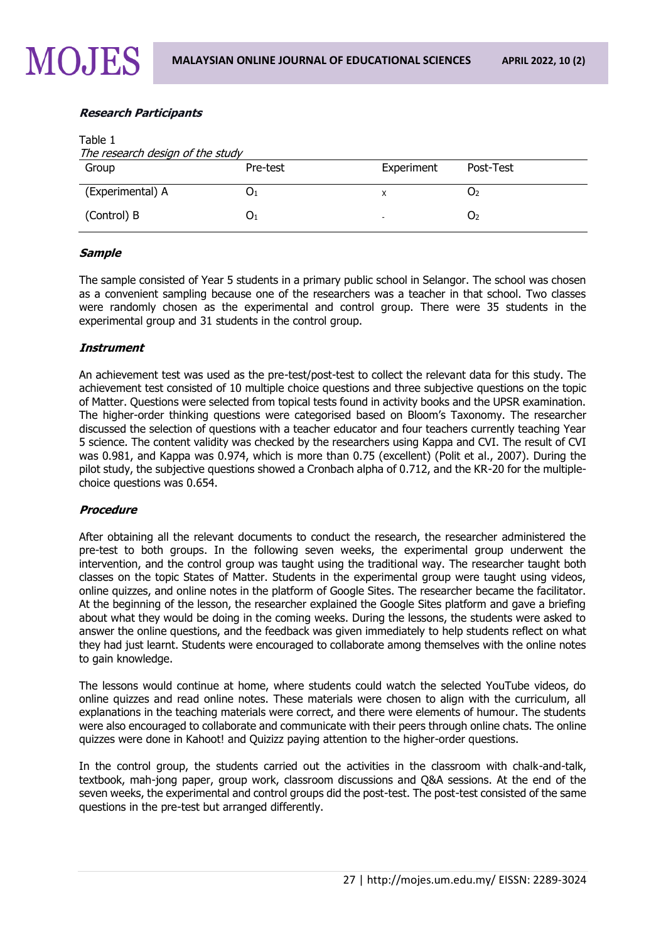## **Research Participants**

| Table 1<br>The research design of the study |          |                          |           |  |  |
|---------------------------------------------|----------|--------------------------|-----------|--|--|
| Group                                       | Pre-test | Experiment               | Post-Test |  |  |
| (Experimental) A                            | U1       | х                        | U2        |  |  |
| (Control) B                                 | U1       | $\overline{\phantom{a}}$ | O۶        |  |  |

### **Sample**

The sample consisted of Year 5 students in a primary public school in Selangor. The school was chosen as a convenient sampling because one of the researchers was a teacher in that school. Two classes were randomly chosen as the experimental and control group. There were 35 students in the experimental group and 31 students in the control group.

#### **Instrument**

An achievement test was used as the pre-test/post-test to collect the relevant data for this study. The achievement test consisted of 10 multiple choice questions and three subjective questions on the topic of Matter. Questions were selected from topical tests found in activity books and the UPSR examination. The higher-order thinking questions were categorised based on Bloom's Taxonomy. The researcher discussed the selection of questions with a teacher educator and four teachers currently teaching Year 5 science. The content validity was checked by the researchers using Kappa and CVI. The result of CVI was 0.981, and Kappa was 0.974, which is more than 0.75 (excellent) (Polit et al., 2007). During the pilot study, the subjective questions showed a Cronbach alpha of 0.712, and the KR-20 for the multiplechoice questions was 0.654.

## **Procedure**

After obtaining all the relevant documents to conduct the research, the researcher administered the pre-test to both groups. In the following seven weeks, the experimental group underwent the intervention, and the control group was taught using the traditional way. The researcher taught both classes on the topic States of Matter. Students in the experimental group were taught using videos, online quizzes, and online notes in the platform of Google Sites. The researcher became the facilitator. At the beginning of the lesson, the researcher explained the Google Sites platform and gave a briefing about what they would be doing in the coming weeks. During the lessons, the students were asked to answer the online questions, and the feedback was given immediately to help students reflect on what they had just learnt. Students were encouraged to collaborate among themselves with the online notes to gain knowledge.

The lessons would continue at home, where students could watch the selected YouTube videos, do online quizzes and read online notes. These materials were chosen to align with the curriculum, all explanations in the teaching materials were correct, and there were elements of humour. The students were also encouraged to collaborate and communicate with their peers through online chats. The online quizzes were done in Kahoot! and Quizizz paying attention to the higher-order questions.

In the control group, the students carried out the activities in the classroom with chalk-and-talk, textbook, mah-jong paper, group work, classroom discussions and Q&A sessions. At the end of the seven weeks, the experimental and control groups did the post-test. The post-test consisted of the same questions in the pre-test but arranged differently.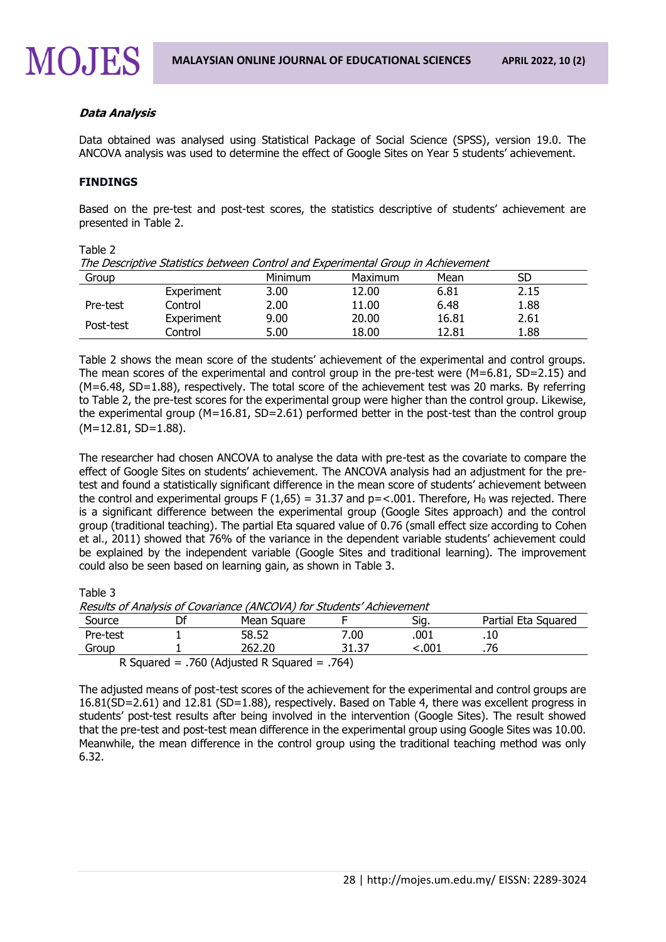### **Data Analysis**

Data obtained was analysed using Statistical Package of Social Science (SPSS), version 19.0. The ANCOVA analysis was used to determine the effect of Google Sites on Year 5 students' achievement.

#### **FINDINGS**

Based on the pre-test and post-test scores, the statistics descriptive of students' achievement are presented in Table 2.

| Table 2                                                                          |            |                |         |       |      |  |  |
|----------------------------------------------------------------------------------|------------|----------------|---------|-------|------|--|--|
| The Descriptive Statistics between Control and Experimental Group in Achievement |            |                |         |       |      |  |  |
| Group                                                                            |            | <b>Minimum</b> | Maximum | Mean  | SD   |  |  |
|                                                                                  | Experiment | 3.00           | 12.00   | 6.81  | 2.15 |  |  |
| Pre-test                                                                         | Control    | 2.00           | 11.00   | 6.48  | 1.88 |  |  |
| Post-test                                                                        | Experiment | 9.00           | 20.00   | 16.81 | 2.61 |  |  |
|                                                                                  | Control    | 5.00           | 18.00   | 12.81 | 1.88 |  |  |

Table 2 shows the mean score of the students' achievement of the experimental and control groups. The mean scores of the experimental and control group in the pre-test were (M=6.81, SD=2.15) and (M=6.48, SD=1.88), respectively. The total score of the achievement test was 20 marks. By referring to Table 2, the pre-test scores for the experimental group were higher than the control group. Likewise, the experimental group (M=16.81, SD=2.61) performed better in the post-test than the control group  $(M=12.81, SD=1.88)$ .

The researcher had chosen ANCOVA to analyse the data with pre-test as the covariate to compare the effect of Google Sites on students' achievement. The ANCOVA analysis had an adjustment for the pretest and found a statistically significant difference in the mean score of students' achievement between the control and experimental groups F (1,65) = 31.37 and  $p = 0.001$ . Therefore, H<sub>0</sub> was rejected. There is a significant difference between the experimental group (Google Sites approach) and the control group (traditional teaching). The partial Eta squared value of 0.76 (small effect size according to Cohen et al., 2011) showed that 76% of the variance in the dependent variable students' achievement could be explained by the independent variable (Google Sites and traditional learning). The improvement could also be seen based on learning gain, as shown in Table 3.

Table 3

Results of Analysis of Covariance (ANCOVA) for Students' Achievement

| Source   |  | Mean Square                                  |       | Siq.  | Partial Eta Squared |  |  |
|----------|--|----------------------------------------------|-------|-------|---------------------|--|--|
| Pre-test |  | 58.52                                        | 7.00  | .001  | .10                 |  |  |
| Group    |  | 262.20                                       | 31.37 | 001.> |                     |  |  |
|          |  | R Squared = .760 (Adjusted R Squared = .764) |       |       |                     |  |  |

The adjusted means of post-test scores of the achievement for the experimental and control groups are 16.81(SD=2.61) and 12.81 (SD=1.88), respectively. Based on Table 4, there was excellent progress in students' post-test results after being involved in the intervention (Google Sites). The result showed that the pre-test and post-test mean difference in the experimental group using Google Sites was 10.00. Meanwhile, the mean difference in the control group using the traditional teaching method was only 6.32.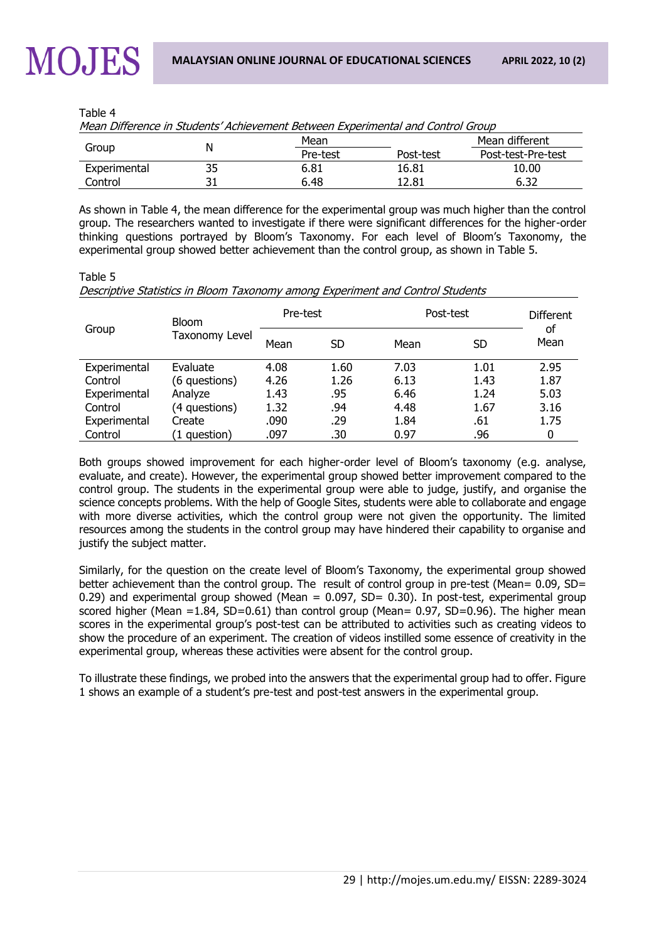Table 4

| <u>rican Dinerence in Juddenis-Acmevement Detween Experimental and Control Group</u> |  |          |           |                    |  |  |
|--------------------------------------------------------------------------------------|--|----------|-----------|--------------------|--|--|
|                                                                                      |  | Mean     |           | Mean different     |  |  |
| Group                                                                                |  | Pre-test | Post-test | Post-test-Pre-test |  |  |
| Experimental                                                                         |  | 6.81     | 16.81     | 10.00              |  |  |
| Control                                                                              |  | 6.48     | 12.81     | 6.32               |  |  |

Mean Difference in Students' Achievement Between Experimental and Control Group

As shown in Table 4, the mean difference for the experimental group was much higher than the control group. The researchers wanted to investigate if there were significant differences for the higher-order thinking questions portrayed by Bloom's Taxonomy. For each level of Bloom's Taxonomy, the experimental group showed better achievement than the control group, as shown in Table 5.

## Table 5 Descriptive Statistics in Bloom Taxonomy among Experiment and Control Students

| Group        | <b>Bloom</b><br>Taxonomy Level | Pre-test |      | Post-test |      | <b>Different</b> |
|--------------|--------------------------------|----------|------|-----------|------|------------------|
|              |                                | Mean     | SD   | Mean      | SD   | of<br>Mean       |
| Experimental | Evaluate                       | 4.08     | 1.60 | 7.03      | 1.01 | 2.95             |
| Control      | (6 questions)                  | 4.26     | 1.26 | 6.13      | 1.43 | 1.87             |
| Experimental | Analyze                        | 1.43     | .95  | 6.46      | 1.24 | 5.03             |
| Control      | (4 questions)                  | 1.32     | .94  | 4.48      | 1.67 | 3.16             |
| Experimental | Create                         | .090     | .29  | 1.84      | .61  | 1.75             |
| Control      | (1 question)                   | .097     | .30  | 0.97      | .96  | 0                |

Both groups showed improvement for each higher-order level of Bloom's taxonomy (e.g. analyse, evaluate, and create). However, the experimental group showed better improvement compared to the control group. The students in the experimental group were able to judge, justify, and organise the science concepts problems. With the help of Google Sites, students were able to collaborate and engage with more diverse activities, which the control group were not given the opportunity. The limited resources among the students in the control group may have hindered their capability to organise and justify the subject matter.

Similarly, for the question on the create level of Bloom's Taxonomy, the experimental group showed better achievement than the control group. The result of control group in pre-test (Mean= 0.09, SD= 0.29) and experimental group showed (Mean =  $0.097$ , SD= 0.30). In post-test, experimental group scored higher (Mean =1.84, SD=0.61) than control group (Mean= 0.97, SD=0.96). The higher mean scores in the experimental group's post-test can be attributed to activities such as creating videos to show the procedure of an experiment. The creation of videos instilled some essence of creativity in the experimental group, whereas these activities were absent for the control group.

To illustrate these findings, we probed into the answers that the experimental group had to offer. Figure 1 shows an example of a student's pre-test and post-test answers in the experimental group.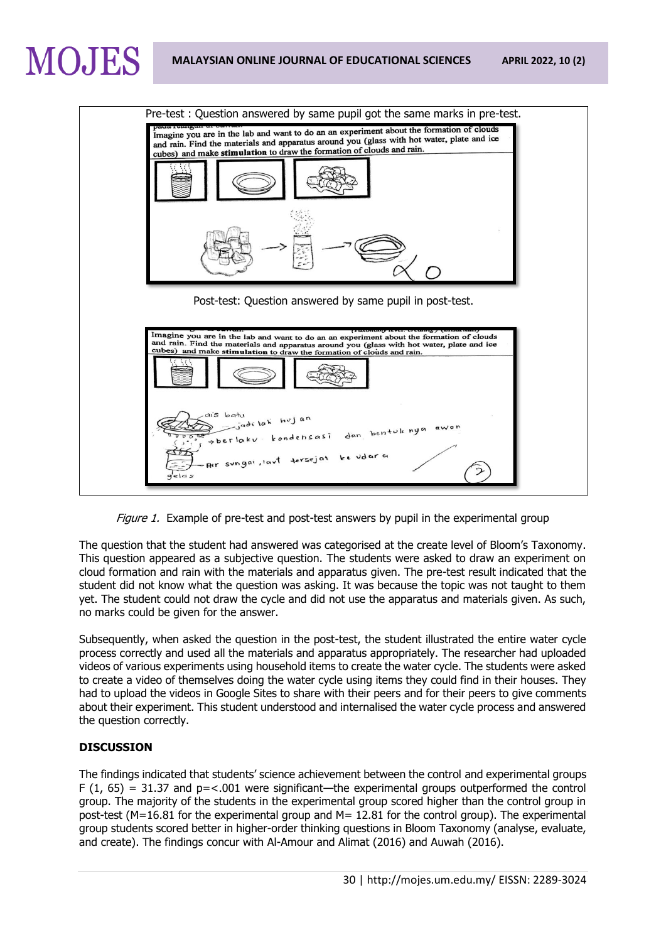



Figure 1. Example of pre-test and post-test answers by pupil in the experimental group

The question that the student had answered was categorised at the create level of Bloom's Taxonomy. This question appeared as a subjective question. The students were asked to draw an experiment on cloud formation and rain with the materials and apparatus given. The pre-test result indicated that the student did not know what the question was asking. It was because the topic was not taught to them yet. The student could not draw the cycle and did not use the apparatus and materials given. As such, no marks could be given for the answer.

Subsequently, when asked the question in the post-test, the student illustrated the entire water cycle process correctly and used all the materials and apparatus appropriately. The researcher had uploaded videos of various experiments using household items to create the water cycle. The students were asked to create a video of themselves doing the water cycle using items they could find in their houses. They had to upload the videos in Google Sites to share with their peers and for their peers to give comments about their experiment. This student understood and internalised the water cycle process and answered the question correctly.

## **DISCUSSION**

The findings indicated that students' science achievement between the control and experimental groups  $F(1, 65) = 31.37$  and  $p = < .001$  were significant—the experimental groups outperformed the control group. The majority of the students in the experimental group scored higher than the control group in post-test (M=16.81 for the experimental group and M= 12.81 for the control group). The experimental group students scored better in higher-order thinking questions in Bloom Taxonomy (analyse, evaluate, and create). The findings concur with Al-Amour and Alimat (2016) and Auwah (2016).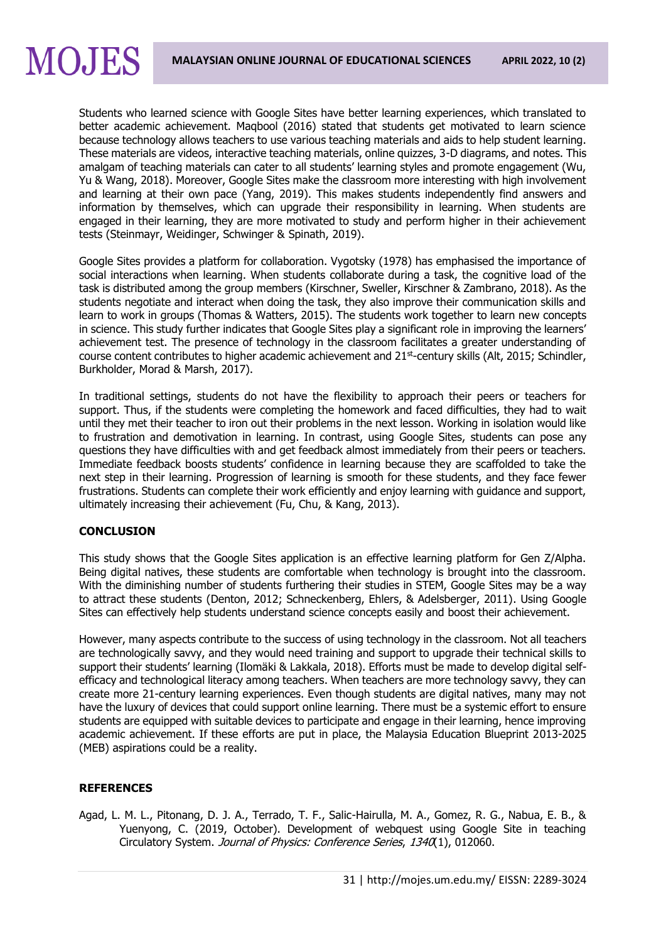Students who learned science with Google Sites have better learning experiences, which translated to better academic achievement. Maqbool (2016) stated that students get motivated to learn science because technology allows teachers to use various teaching materials and aids to help student learning. These materials are videos, interactive teaching materials, online quizzes, 3-D diagrams, and notes. This amalgam of teaching materials can cater to all students' learning styles and promote engagement (Wu, Yu & Wang, 2018). Moreover, Google Sites make the classroom more interesting with high involvement and learning at their own pace (Yang, 2019). This makes students independently find answers and information by themselves, which can upgrade their responsibility in learning. When students are engaged in their learning, they are more motivated to study and perform higher in their achievement tests (Steinmayr, Weidinger, Schwinger & Spinath, 2019).

Google Sites provides a platform for collaboration. Vygotsky (1978) has emphasised the importance of social interactions when learning. When students collaborate during a task, the cognitive load of the task is distributed among the group members (Kirschner, Sweller, Kirschner & Zambrano, 2018). As the students negotiate and interact when doing the task, they also improve their communication skills and learn to work in groups (Thomas & Watters, 2015). The students work together to learn new concepts in science. This study further indicates that Google Sites play a significant role in improving the learners' achievement test. The presence of technology in the classroom facilitates a greater understanding of course content contributes to higher academic achievement and 21<sup>st</sup>-century skills (Alt, 2015; Schindler, Burkholder, Morad & Marsh, 2017).

In traditional settings, students do not have the flexibility to approach their peers or teachers for support. Thus, if the students were completing the homework and faced difficulties, they had to wait until they met their teacher to iron out their problems in the next lesson. Working in isolation would like to frustration and demotivation in learning. In contrast, using Google Sites, students can pose any questions they have difficulties with and get feedback almost immediately from their peers or teachers. Immediate feedback boosts students' confidence in learning because they are scaffolded to take the next step in their learning. Progression of learning is smooth for these students, and they face fewer frustrations. Students can complete their work efficiently and enjoy learning with guidance and support, ultimately increasing their achievement (Fu, Chu, & Kang, 2013).

#### **CONCLUSION**

This study shows that the Google Sites application is an effective learning platform for Gen Z/Alpha. Being digital natives, these students are comfortable when technology is brought into the classroom. With the diminishing number of students furthering their studies in STEM, Google Sites may be a way to attract these students (Denton, 2012; Schneckenberg, Ehlers, & Adelsberger, 2011). Using Google Sites can effectively help students understand science concepts easily and boost their achievement.

However, many aspects contribute to the success of using technology in the classroom. Not all teachers are technologically savvy, and they would need training and support to upgrade their technical skills to support their students' learning (Ilomäki & Lakkala, 2018). Efforts must be made to develop digital selfefficacy and technological literacy among teachers. When teachers are more technology savvy, they can create more 21-century learning experiences. Even though students are digital natives, many may not have the luxury of devices that could support online learning. There must be a systemic effort to ensure students are equipped with suitable devices to participate and engage in their learning, hence improving academic achievement. If these efforts are put in place, the Malaysia Education Blueprint 2013-2025 (MEB) aspirations could be a reality.

## **REFERENCES**

Agad, L. M. L., Pitonang, D. J. A., Terrado, T. F., Salic-Hairulla, M. A., Gomez, R. G., Nabua, E. B., & Yuenyong, C. (2019, October). Development of webquest using Google Site in teaching Circulatory System. Journal of Physics: Conference Series, 1340(1), 012060.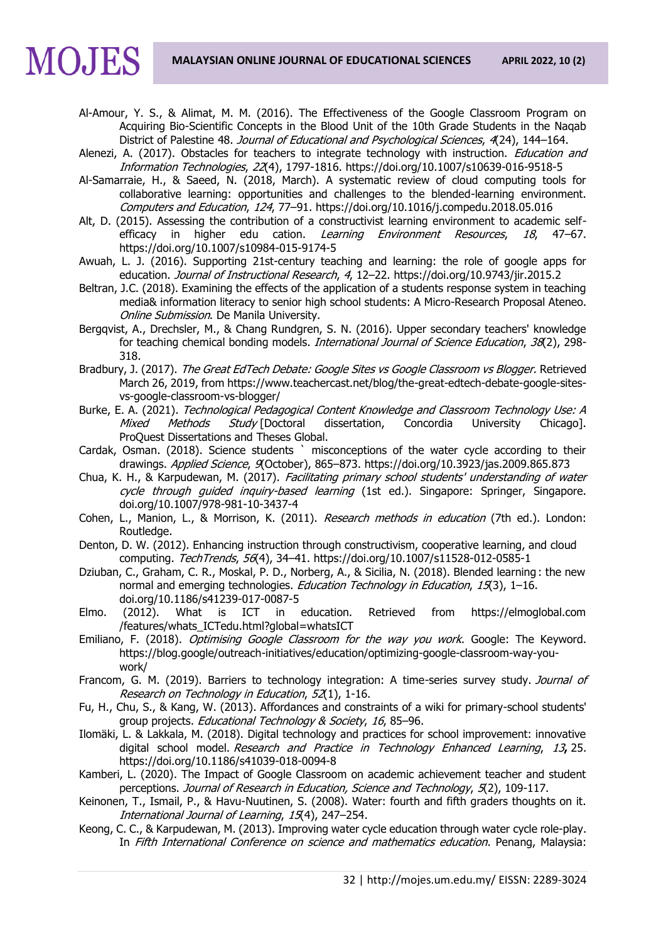Al-Amour, Y. S., & Alimat, M. M. (2016). The Effectiveness of the Google Classroom Program on Acquiring Bio-Scientific Concepts in the Blood Unit of the 10th Grade Students in the Naqab District of Palestine 48. Journal of Educational and Psychological Sciences, 4(24), 144-164.

Alenezi, A. (2017). Obstacles for teachers to integrate technology with instruction. *Education and* Information Technologies, 22(4), 1797-1816. https://doi.org/10.1007/s10639-016-9518-5

- Al-Samarraie, H., & Saeed, N. (2018, March). A systematic review of cloud computing tools for collaborative learning: opportunities and challenges to the blended-learning environment. Computers and Education, 124, 77–91. https://doi.org/10.1016/j.compedu.2018.05.016
- Alt, D. (2015). Assessing the contribution of a constructivist learning environment to academic selfefficacy in higher edu cation. Learning Environment Resources, 18, 47-67. <https://doi.org/10.1007/s10984-015-9174-5>
- Awuah, L. J. (2016). Supporting 21st-century teaching and learning: the role of google apps for education. Journal of Instructional Research, 4, 12-22. https://doi.org/10.9743/jir.2015.2
- Beltran, J.C. (2018). Examining the effects of the application of a students response system in teaching media& information literacy to senior high school students: A Micro-Research Proposal Ateneo. Online Submission. De Manila University.
- Bergqvist, A., Drechsler, M., & Chang Rundgren, S. N. (2016). Upper secondary teachers' knowledge for teaching chemical bonding models. *International Journal of Science Education, 38*(2), 298-318.
- Bradbury, J. (2017). The Great EdTech Debate: Google Sites vs Google Classroom vs Blogger. Retrieved March 26, 2019, from [https://www.teachercast.net/blog/the-great-edtech-debate-google-sites](https://www.teachercast.net/blog/the-great-edtech-debate-google-sites-vs-google-classroom-vs-blogger/)[vs-google-classroom-vs-blogger/](https://www.teachercast.net/blog/the-great-edtech-debate-google-sites-vs-google-classroom-vs-blogger/)
- Burke, E. A. (2021). Technological Pedagogical Content Knowledge and Classroom Technology Use: A Mixed Methods Study [Doctoral dissertation, Concordia University Chicago]. ProQuest Dissertations and Theses Global.
- Cardak, Osman. (2018). Science students ` misconceptions of the water cycle according to their drawings. *Applied Science, 9*(October), 865–873.<https://doi.org/10.3923/jas.2009.865.873>
- Chua, K. H., & Karpudewan, M. (2017). Facilitating primary school students' understanding of water cycle through guided inquiry-based learning (1st ed.). Singapore: Springer, Singapore. doi.org/10.1007/978-981-10-3437-4
- Cohen, L., Manion, L., & Morrison, K. (2011). Research methods in education (7th ed.). London: Routledge.
- Denton, D. W. (2012). Enhancing instruction through constructivism, cooperative learning, and cloud computing. TechTrends, 56(4), 34–41. https://doi.org/10.1007/s11528-012-0585-1
- Dziuban, C., Graham, C. R., Moskal, P. D., Norberg, A., & Sicilia, N. (2018). Blended learning : the new normal and emerging technologies. Education Technology in Education, 15(3), 1-16. doi.org/10.1186/s41239-017-0087-5
- Elmo. (2012). What is ICT in education. Retrieved from https://elmoglobal.com /features/whats\_ICTedu.html?global=whatsICT
- Emiliano, F. (2018). Optimising Google Classroom for the way you work. Google: The Keyword. https://blog.google/outreach-initiatives/education/optimizing-google-classroom-way-youwork/
- Francom, G. M. (2019). Barriers to technology integration: A time-series survey study. Journal of Research on Technology in Education, 52(1), 1-16.
- Fu, H., Chu, S., & Kang, W. (2013). Affordances and constraints of a wiki for primary-school students' group projects. Educational Technology & Society, 16, 85-96.
- Ilomäki, L. & Lakkala, M. (2018). Digital technology and practices for school improvement: innovative digital school model. Research and Practice in Technology Enhanced Learning, 13**,** 25. https://doi.org/10.1186/s41039-018-0094-8
- Kamberi, L. (2020). The Impact of Google Classroom on academic achievement teacher and student perceptions. Journal of Research in Education, Science and Technology, 5(2), 109-117.
- Keinonen, T., Ismail, P., & Havu-Nuutinen, S. (2008). Water: fourth and fifth graders thoughts on it. International Journal of Learning, 15(4), 247–254.
- Keong, C. C., & Karpudewan, M. (2013). Improving water cycle education through water cycle role-play. In Fifth International Conference on science and mathematics education. Penang, Malaysia: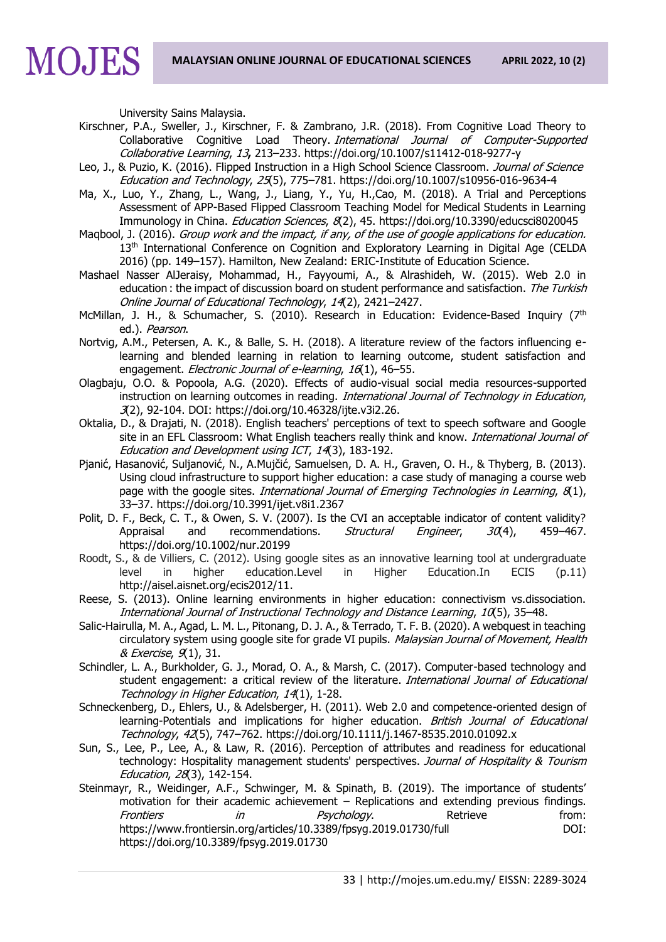University Sains Malaysia.

MOJES

- Kirschner, P.A., Sweller, J., Kirschner, F. & Zambrano, J.R. (2018). From Cognitive Load Theory to Collaborative Cognitive Load Theory. International Journal of Computer-Supported Collaborative Learning, 13**,** 213–233. https://doi.org/10.1007/s11412-018-9277-y
- Leo, J., & Puzio, K. (2016). Flipped Instruction in a High School Science Classroom. Journal of Science Education and Technology, 25(5), 775–781.<https://doi.org/10.1007/s10956-016-9634-4>
- Ma, X., Luo, Y., Zhang, L., Wang, J., Liang, Y., Yu, H.,Cao, M. (2018). A Trial and Perceptions Assessment of APP-Based Flipped Classroom Teaching Model for Medical Students in Learning Immunology in China. *Education Sciences*, 8(2), 45.<https://doi.org/10.3390/educsci8020045>
- Maqbool, J. (2016). Group work and the impact, if any, of the use of google applications for education. 13<sup>th</sup> International Conference on Cognition and Exploratory Learning in Digital Age (CELDA 2016) (pp. 149–157). Hamilton, New Zealand: ERIC-Institute of Education Science.
- Mashael Nasser AlJeraisy, Mohammad, H., Fayyoumi, A., & Alrashideh, W. (2015). Web 2.0 in education : the impact of discussion board on student performance and satisfaction. The Turkish Online Journal of Educational Technology, 14(2), 2421–2427.
- McMillan, J. H., & Schumacher, S. (2010). Research in Education: Evidence-Based Inquiry (7<sup>th</sup> ed.). Pearson.
- Nortvig, A.M., Petersen, A. K., & Balle, S. H. (2018). A literature review of the factors influencing elearning and blended learning in relation to learning outcome, student satisfaction and engagement. *Electronic Journal of e-learning*, 16(1), 46-55.
- Olagbaju, O.O. & Popoola, A.G. (2020). Effects of audio-visual social media resources-supported instruction on learning outcomes in reading. International Journal of Technology in Education, 3(2), 92-104. DOI: https://doi.org/10.46328/ijte.v3i2.26.
- Oktalia, D., & Drajati, N. (2018). English teachers' perceptions of text to speech software and Google site in an EFL Classroom: What English teachers really think and know. International Journal of Education and Development using ICT, 14(3), 183-192.
- Pjanić, Hasanović, Suljanović, N., A.Mujčić, Samuelsen, D. A. H., Graven, O. H., & Thyberg, B. (2013). Using cloud infrastructure to support higher education: a case study of managing a course web page with the google sites. International Journal of Emerging Technologies in Learning,  $\mathcal{B}(1)$ , 33–37. https://doi.org/10.3991/ijet.v8i1.2367
- Polit, D. F., Beck, C. T., & Owen, S. V. (2007). Is the CVI an acceptable indicator of content validity? Appraisal and recommendations. Structural Engineer, 30(4), 459-467. <https://doi.org/10.1002/nur.20199>
- Roodt, S., & de Villiers, C. (2012). Using google sites as an innovative learning tool at undergraduate level in higher education.Level in Higher Education.In ECIS (p.11) [http://aisel.aisnet.org/ecis2012/11.](http://aisel.aisnet.org/ecis2012/11)
- Reese, S. (2013). Online learning environments in higher education: connectivism vs.dissociation. International Journal of Instructional Technology and Distance Learning, 10(5), 35–48.
- Salic-Hairulla, M. A., Agad, L. M. L., Pitonang, D. J. A., & Terrado, T. F. B. (2020). A webquest in teaching circulatory system using google site for grade VI pupils. Malaysian Journal of Movement, Health & Exercise, 9(1), 31.
- Schindler, L. A., Burkholder, G. J., Morad, O. A., & Marsh, C. (2017). Computer-based technology and student engagement: a critical review of the literature. International Journal of Educational Technology in Higher Education, 14(1), 1-28.
- Schneckenberg, D., Ehlers, U., & Adelsberger, H. (2011). Web 2.0 and competence-oriented design of learning-Potentials and implications for higher education. British Journal of Educational Technology, 42(5), 747–762.<https://doi.org/10.1111/j.1467-8535.2010.01092.x>
- Sun, S., Lee, P., Lee, A., & Law, R. (2016). Perception of attributes and readiness for educational technology: Hospitality management students' perspectives. Journal of Hospitality & Tourism Education, 28(3), 142-154.
- Steinmayr, R., Weidinger, A.F., Schwinger, M. & Spinath, B. (2019). The importance of students' motivation for their academic achievement – Replications and extending previous findings. Frontiers in  $Psychology.$  Retrieve from: <https://www.frontiersin.org/articles/10.3389/fpsyg.2019.01730/full>DOI: <https://doi.org/10.3389/fpsyg.2019.01730>